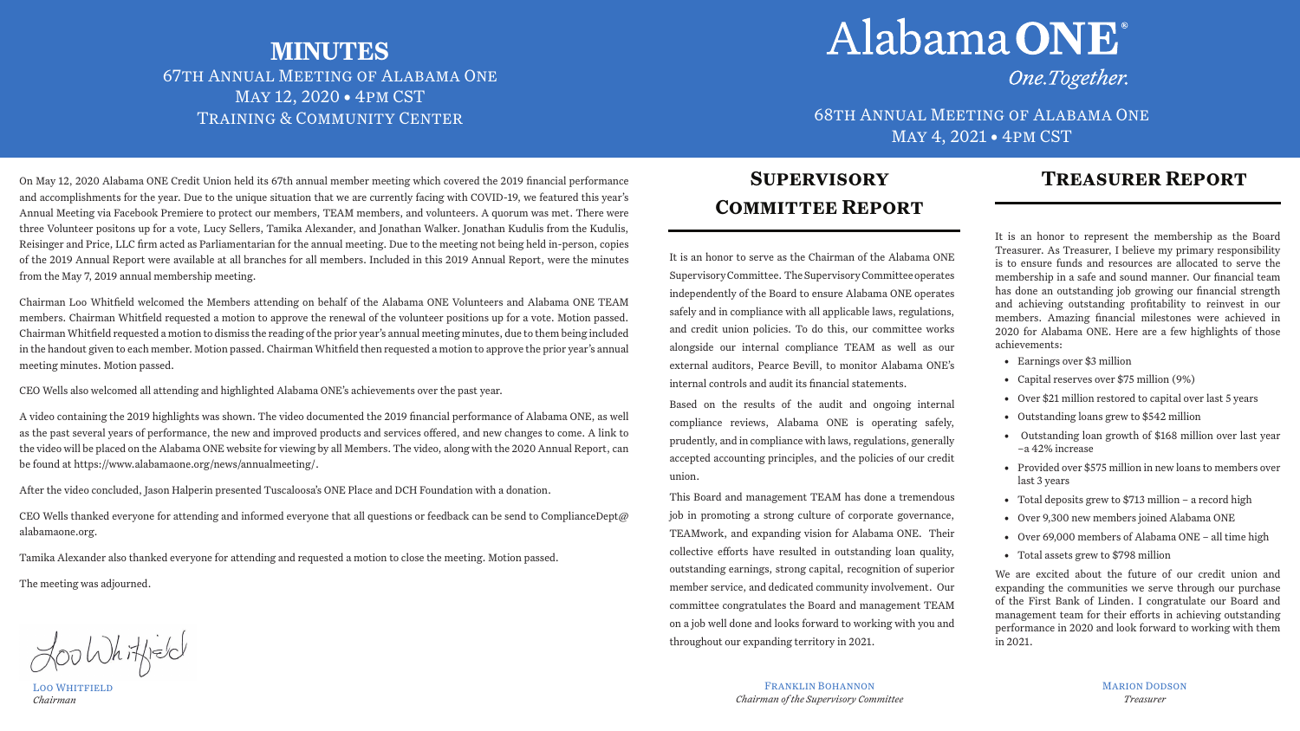## **Treasurer Report**

It is an honor to serve as the Chairman of the Alabama ONE Supervisory Committee. The Supervisory Committee operates independently of the Board to ensure Alabama ONE operates safely and in compliance with all applicable laws, regulations, and credit union policies. To do this, our committee works alongside our internal compliance TEAM as well as our external auditors, Pearce Bevill, to monitor Alabama ONE's internal controls and audit its financial statements.

Based on the results of the audit and ongoing internal compliance reviews, Alabama ONE is operating safely, prudently, and in compliance with laws, regulations, generally accepted accounting principles, and the policies of our credit union.

This Board and management TEAM has done a tremendous job in promoting a strong culture of corporate governance, TEAMwork, and expanding vision for Alabama ONE. Their collective efforts have resulted in outstanding loan quality, outstanding earnings, strong capital, recognition of superior member service, and dedicated community involvement. Our committee congratulates the Board and management TEAM on a job well done and looks forward to working with you and throughout our expanding territory in 2021.

FRANKLIN BOHANNON *Chairman of the Supervisory Committee*



TRAINING & COMMUNITY CENTER **COMMUNITY CENTER** 68TH ANNUAL MEETING OF ALABAMA ONE May 4, 2021 • 4pm CST

> It is an honor to represent the membership as the Board Treasurer. As Treasurer, I believe my primary responsibility is to ensure funds and resources are allocated to serve the membership in a safe and sound manner. Our financial team has done an outstanding job growing our financial strength and achieving outstanding profitability to reinvest in our members. Amazing financial milestones were achieved in 2020 for Alabama ONE. Here are a few highlights of those achievements:

- Earnings over \$3 million
- Capital reserves over \$75 million (9%)
- Over \$21 million restored to capital over last 5 years
- Outstanding loans grew to \$542 million
- Outstanding loan growth of \$168 million over last year –a 42% increase
- Provided over \$575 million in new loans to members over last 3 years
- Total deposits grew to \$713 million a record high
- Over 9,300 new members joined Alabama ONE
- Over 69,000 members of Alabama ONE all time high
- Total assets grew to \$798 million

We are excited about the future of our credit union and expanding the communities we serve through our purchase of the First Bank of Linden. I congratulate our Board and management team for their efforts in achieving outstanding performance in 2020 and look forward to working with them in 2021.

CEO Wells thanked everyone for attending and informed everyone that all questions or feedback can be send to ComplianceDept@ alabamaone.org.

LOO WHITFIELD *Chairman*

## **Supervisory COMMITTEE REPORT**

# **MINUTES** 67th Annual Meeting of Alabama One May 12, 2020 • 4pm CST

# Alabama ONE

On May 12, 2020 Alabama ONE Credit Union held its 67th annual member meeting which covered the 2019 financial performance and accomplishments for the year. Due to the unique situation that we are currently facing with COVID-19, we featured this year's Annual Meeting via Facebook Premiere to protect our members, TEAM members, and volunteers. A quorum was met. There were three Volunteer positons up for a vote, Lucy Sellers, Tamika Alexander, and Jonathan Walker. Jonathan Kudulis from the Kudulis, Reisinger and Price, LLC firm acted as Parliamentarian for the annual meeting. Due to the meeting not being held in-person, copies of the 2019 Annual Report were available at all branches for all members. Included in this 2019 Annual Report, were the minutes from the May 7, 2019 annual membership meeting.

Chairman Loo Whitfield welcomed the Members attending on behalf of the Alabama ONE Volunteers and Alabama ONE TEAM members. Chairman Whitfield requested a motion to approve the renewal of the volunteer positions up for a vote. Motion passed. Chairman Whitfield requested a motion to dismiss the reading of the prior year's annual meeting minutes, due to them being included in the handout given to each member. Motion passed. Chairman Whitfield then requested a motion to approve the prior year's annual meeting minutes. Motion passed.

CEO Wells also welcomed all attending and highlighted Alabama ONE's achievements over the past year.

A video containing the 2019 highlights was shown. The video documented the 2019 financial performance of Alabama ONE, as well as the past several years of performance, the new and improved products and services offered, and new changes to come. A link to the video will be placed on the Alabama ONE website for viewing by all Members. The video, along with the 2020 Annual Report, can be found at https://www.alabamaone.org/news/annualmeeting/.

After the video concluded, Jason Halperin presented Tuscaloosa's ONE Place and DCH Foundation with a donation.

Tamika Alexander also thanked everyone for attending and requested a motion to close the meeting. Motion passed.

The meeting was adjourned.

Loo Whitfield